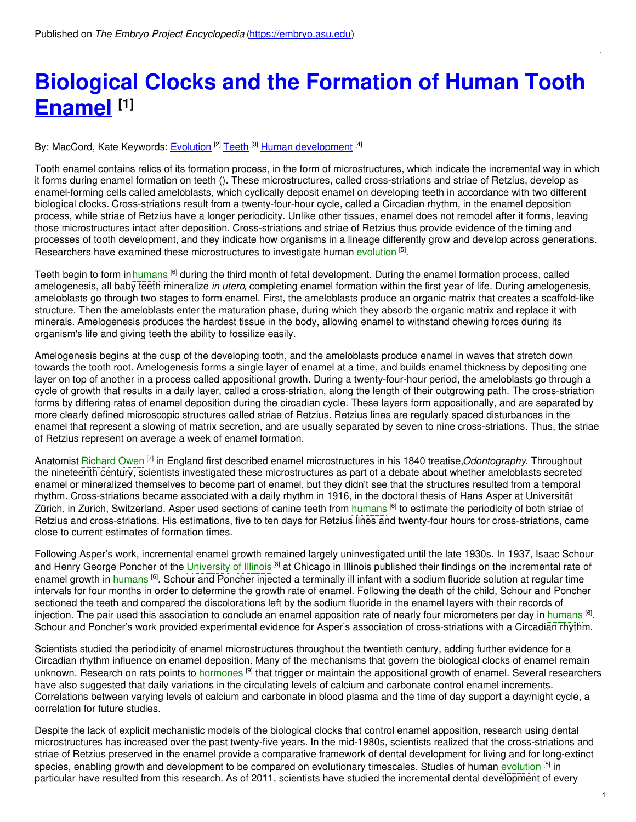# **Biological Clocks and the [Formation](https://embryo.asu.edu/pages/biological-clocks-and-formation-human-tooth-enamel) of Human Tooth Enamel [1]**

By: MacCord, Kate Keywords: <u>[Evolution](https://embryo.asu.edu/keywords/evolution) [2] [Teeth](https://embryo.asu.edu/keywords/teeth) [3] Human [development](https://embryo.asu.edu/keywords/human-development)</u> [4]

Tooth enamel contains relics of its formation process, in the form of microstructures, which indicate the incremental way in which it forms during enamel formation on teeth (). These microstructures, called cross-striations and striae of Retzius, develop as enamel-forming cells called ameloblasts, which cyclically deposit enamel on developing teeth in accordance with two different biological clocks. Cross-striations result from a twenty-four-hour cycle, called a Circadian rhythm, in the enamel deposition process, while striae of Retzius have a longer periodicity. Unlike other tissues, enamel does not remodel after it forms, leaving those microstructures intact after deposition. Cross-striations and striae of Retzius thus provide evidence of the timing and processes of tooth development, and they indicate how organisms in a lineage differently grow and develop across generations. Researchers have examined these microstructures to investigate human [evolution](https://embryo.asu.edu/search?text=evolution) <sup>[5]</sup>.

Teeth begin to form in[humans](https://embryo.asu.edu/search?text=humans) <sup>[6]</sup> during the third month of fetal development. During the enamel formation process, called amelogenesis, all baby teeth mineralize *in utero*, completing enamel formation within the first year of life. During amelogenesis, ameloblasts go through two stages to form enamel. First, the ameloblasts produce an organic matrix that creates a scaffold-like structure. Then the ameloblasts enter the maturation phase, during which they absorb the organic matrix and replace it with minerals. Amelogenesis produces the hardest tissue in the body, allowing enamel to withstand chewing forces during its organism's life and giving teeth the ability to fossilize easily.

Amelogenesis begins at the cusp of the developing tooth, and the ameloblasts produce enamel in waves that stretch down towards the tooth root. Amelogenesis forms a single layer of enamel at a time, and builds enamel thickness by depositing one layer on top of another in a process called appositional growth. During a twenty-four-hour period, the ameloblasts go through a cycle of growth that results in a daily layer, called a cross-striation, along the length of their outgrowing path. The cross-striation forms by differing rates of enamel deposition during the circadian cycle. These layers form appositionally, and are separated by more clearly defined microscopic structures called striae of Retzius. Retzius lines are regularly spaced disturbances in the enamel that represent a slowing of matrix secretion, and are usually separated by seven to nine cross-striations. Thus, the striae of Retzius represent on average a week of enamel formation.

Anatomist [Richard](https://embryo.asu.edu/search?text=Richard%20Owen) Owen <sup>[7]</sup> in England first described enamel microstructures in his 1840 treatise,*Odontography*. Throughout the nineteenth century, scientists investigated these microstructures as part of a debate about whether ameloblasts secreted enamel or mineralized themselves to become part of enamel, but they didn't see that the structures resulted from a temporal rhythm. Cross-striations became associated with a daily rhythm in 1916, in the doctoral thesis of Hans Asper at Universität Zürich, in Zurich, Switzerland. Asper used sections of canine teeth from [humans](https://embryo.asu.edu/search?text=humans) <sup>[6]</sup> to estimate the periodicity of both striae of Retzius and cross-striations. His estimations, five to ten days for Retzius lines and twenty-four hours for cross-striations, came close to current estimates of formation times.

Following Asper's work, incremental enamel growth remained largely uninvestigated until the late 1930s. In 1937, Isaac Schour and Henry George Poncher of the [University](https://embryo.asu.edu/search?text=University%20of%20Illinois) of Illinois<sup>[8]</sup> at Chicago in Illinois published their findings on the incremental rate of enamel growth in [humans](https://embryo.asu.edu/search?text=humans) <sup>[6]</sup>. Schour and Poncher injected a terminally ill infant with a sodium fluoride solution at regular time intervals for four months in order to determine the growth rate of enamel. Following the death of the child, Schour and Poncher sectioned the teeth and compared the discolorations left by the sodium fluoride in the enamel layers with their records of injection. The pair used this association to conclude an enamel apposition rate of nearly four micrometers per day in [humans](https://embryo.asu.edu/search?text=humans) <sup>[6]</sup>. Schour and Poncher's work provided experimental evidence for Asper's association of cross-striations with a Circadian rhythm.

Scientists studied the periodicity of enamel microstructures throughout the twentieth century, adding further evidence for a Circadian rhythm influence on enamel deposition. Many of the mechanisms that govern the biological clocks of enamel remain unknown. Research on rats points to [hormones](https://embryo.asu.edu/search?text=hormones) <sup>[9]</sup> that trigger or maintain the appositional growth of enamel. Several researchers have also suggested that daily variations in the circulating levels of calcium and carbonate control enamel increments. Correlations between varying levels of calcium and carbonate in blood plasma and the time of day support a day/night cycle, a correlation for future studies.

Despite the lack of explicit mechanistic models of the biological clocks that control enamel apposition, research using dental microstructures has increased over the past twenty-five years. In the mid-1980s, scientists realized that the cross-striations and striae of Retzius preserved in the enamel provide a comparative framework of dental development for living and for long-extinct species, enabling growth and development to be compared on [evolution](https://embryo.asu.edu/search?text=evolution)ary timescales. Studies of human evolution <sup>[5]</sup> in particular have resulted from this research. As of 2011, scientists have studied the incremental dental development of every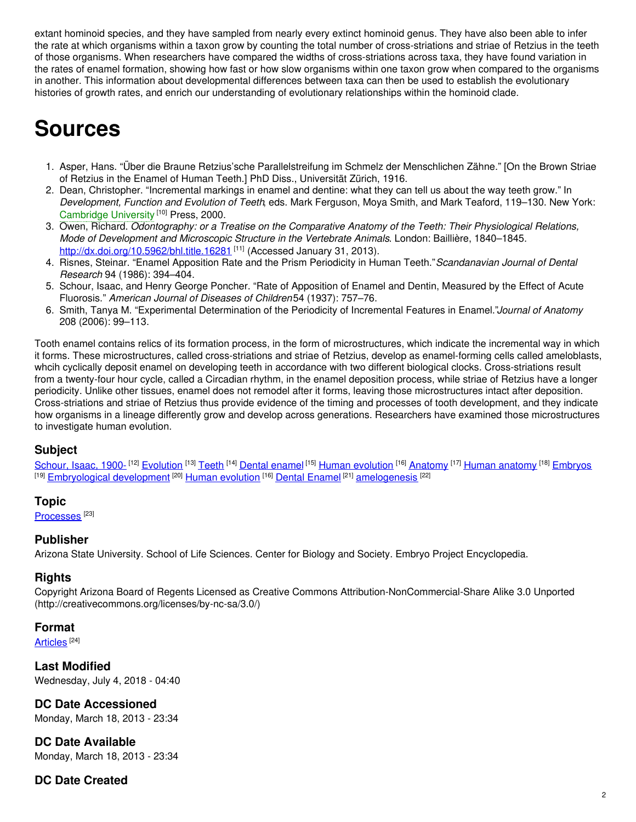extant hominoid species, and they have sampled from nearly every extinct hominoid genus. They have also been able to infer the rate at which organisms within a taxon grow by counting the total number of cross-striations and striae of Retzius in the teeth of those organisms. When researchers have compared the widths of cross-striations across taxa, they have found variation in the rates of enamel formation, showing how fast or how slow organisms within one taxon grow when compared to the organisms in another. This information about developmental differences between taxa can then be used to establish the evolutionary histories of growth rates, and enrich our understanding of evolutionary relationships within the hominoid clade.

## **Sources**

- 1. Asper, Hans. "Über die Braune Retzius'sche Parallelstreifung im Schmelz der Menschlichen Zähne." [On the Brown Striae of Retzius in the Enamel of Human Teeth.] PhD Diss., Universität Zürich, 1916.
- 2. Dean, Christopher. "Incremental markings in enamel and dentine: what they can tell us about the way teeth grow." In *Development, Function and Evolution of Teeth*, eds. Mark Ferguson, Moya Smith, and Mark Teaford, 119–130. New York: [Cambridge](https://embryo.asu.edu/search?text=Cambridge%20University) University<sup>[10]</sup> Press, 2000.
- 3. Owen, Richard. *Odontography: or a Treatise on the Comparative Anatomy of the Teeth: Their Physiological Relations, Mode of Development and Microscopic Structure in the Vertebrate Animals*. London: Baillière, 1840–1845. <http://dx.doi.org/10.5962/bhl.title.16281><sup>[11]</sup> (Accessed January 31, 2013).
- 4. Risnes, Steinar. "Enamel Apposition Rate and the Prism Periodicity in Human Teeth."*Scandanavian Journal of Dental Research* 94 (1986): 394–404.
- 5. Schour, Isaac, and Henry George Poncher. "Rate of Apposition of Enamel and Dentin, Measured by the Effect of Acute Fluorosis." *American Journal of Diseases of Children*54 (1937): 757–76.
- 6. Smith, Tanya M. "Experimental Determination of the Periodicity of Incremental Features in Enamel."*Journal of Anatomy* 208 (2006): 99–113.

Tooth enamel contains relics of its formation process, in the form of microstructures, which indicate the incremental way in which it forms. These microstructures, called cross-striations and striae of Retzius, develop as enamel-forming cells called ameloblasts, whcih cyclically deposit enamel on developing teeth in accordance with two different biological clocks. Cross-striations result from a twenty-four hour cycle, called a Circadian rhythm, in the enamel deposition process, while striae of Retzius have a longer periodicity. Unlike other tissues, enamel does not remodel after it forms, leaving those microstructures intact after deposition. Cross-striations and striae of Retzius thus provide evidence of the timing and processes of tooth development, and they indicate how organisms in a lineage differently grow and develop across generations. Researchers have examined those microstructures to investigate human evolution.

#### **Subject**

[Schour,](https://embryo.asu.edu/library-congress-subject-headings/schour-isaac-1900) Isaac, 1900- <sup>[12]</sup> [Evolution](https://embryo.asu.edu/library-congress-subject-headings/evolution) <sup>[13]</sup> [Teeth](https://embryo.asu.edu/library-congress-subject-headings/teeth) <sup>[14]</sup> Dental [enamel](https://embryo.asu.edu/library-congress-subject-headings/dental-enamel) <sup>[15]</sup> Human [evolution](https://embryo.asu.edu/library-congress-subject-headings/human-evolution) <sup>[16]</sup> [Anatomy](https://embryo.asu.edu/library-congress-subject-headings/anatomy) <sup>[17]</sup> Human [anatomy](https://embryo.asu.edu/library-congress-subject-headings/human-anatomy) <sup>[18]</sup> [Embryos](https://embryo.asu.edu/library-congress-subject-headings/embryos) <sup>[19]</sup> [Embryological](https://embryo.asu.edu/library-congress-subject-headings/embryological-development) development <sup>[20]</sup> Human [evolution](https://embryo.asu.edu/library-congress-subject-headings/human-evolution) <sup>[16]</sup> Dental [Enamel](https://embryo.asu.edu/medical-subject-headings/dental-enamel) <sup>[21]</sup> [amelogenesis](https://embryo.asu.edu/medical-subject-headings/amelogenesis) <sup>[22]</sup>

#### **Topic**

[Processes](https://embryo.asu.edu/topics/processes)<sup>[23]</sup>

#### **Publisher**

Arizona State University. School of Life Sciences. Center for Biology and Society. Embryo Project Encyclopedia.

#### **Rights**

Copyright Arizona Board of Regents Licensed as Creative Commons Attribution-NonCommercial-Share Alike 3.0 Unported (http://creativecommons.org/licenses/by-nc-sa/3.0/)

#### **Format**

[Articles](https://embryo.asu.edu/formats/articles) <sup>[24]</sup>

**Last Modified** Wednesday, July 4, 2018 - 04:40

#### **DC Date Accessioned**

Monday, March 18, 2013 - 23:34

**DC Date Available** Monday, March 18, 2013 - 23:34

### **DC Date Created**